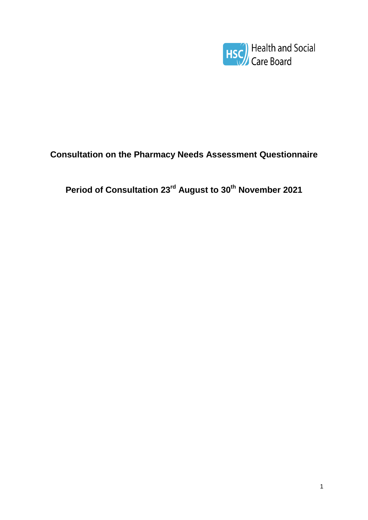

# **Consultation on the Pharmacy Needs Assessment Questionnaire**

**Period of Consultation 23rd August to 30th November 2021**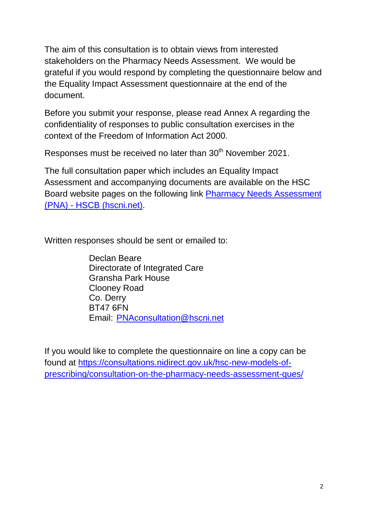The aim of this consultation is to obtain views from interested stakeholders on the Pharmacy Needs Assessment. We would be grateful if you would respond by completing the questionnaire below and the Equality Impact Assessment questionnaire at the end of the document.

Before you submit your response, please read Annex A regarding the confidentiality of responses to public consultation exercises in the context of the Freedom of Information Act 2000.

Responses must be received no later than 30<sup>th</sup> November 2021.

The full consultation paper which includes an Equality Impact Assessment and accompanying documents are available on the HSC Board website pages on the following link [Pharmacy Needs Assessment](http://www.hscboard.hscni.net/get-involved/consultations/pna/)  (PNA) - [HSCB \(hscni.net\).](http://www.hscboard.hscni.net/get-involved/consultations/pna/)

Written responses should be sent or emailed to:

Declan Beare Directorate of Integrated Care Gransha Park House Clooney Road Co. Derry BT47 6FN Email: [PNAconsultation@hscni.net](mailto:PNAconsultation@hscni.net)

If you would like to complete the questionnaire on line a copy can be found at [https://consultations.nidirect.gov.uk/hsc-new-models-of](https://consultations.nidirect.gov.uk/hsc-new-models-of-prescribing/consultation-on-the-pharmacy-needs-assessment-ques/)[prescribing/consultation-on-the-pharmacy-needs-assessment-ques/](https://consultations.nidirect.gov.uk/hsc-new-models-of-prescribing/consultation-on-the-pharmacy-needs-assessment-ques/)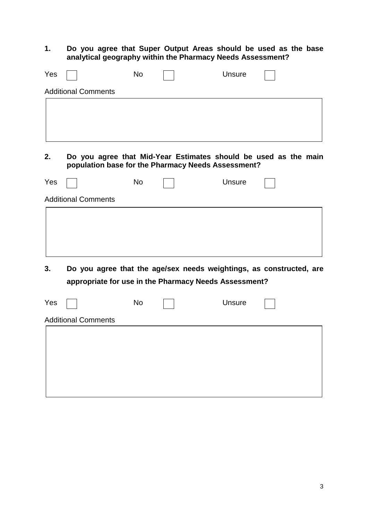#### **1. Do you agree that Super Output Areas should be used as the base analytical geography within the Pharmacy Needs Assessment?**

| Yes |                                                       | <b>No</b> | <b>Unsure</b> |                                                                     |
|-----|-------------------------------------------------------|-----------|---------------|---------------------------------------------------------------------|
|     | <b>Additional Comments</b>                            |           |               |                                                                     |
|     |                                                       |           |               |                                                                     |
| 2.  | population base for the Pharmacy Needs Assessment?    |           |               | Do you agree that Mid-Year Estimates should be used as the main     |
| Yes |                                                       | <b>No</b> | Unsure        |                                                                     |
|     | <b>Additional Comments</b>                            |           |               |                                                                     |
| 3.  | appropriate for use in the Pharmacy Needs Assessment? |           |               | Do you agree that the age/sex needs weightings, as constructed, are |
| Yes |                                                       | <b>No</b> | Unsure        |                                                                     |
|     | <b>Additional Comments</b>                            |           |               |                                                                     |
|     |                                                       |           |               |                                                                     |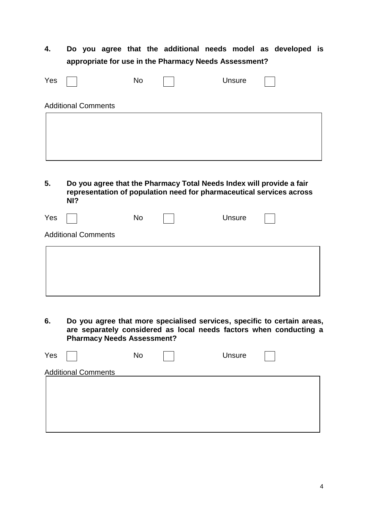**4. Do you agree that the additional needs model as developed is appropriate for use in the Pharmacy Needs Assessment?**

| Yes                        | No | <b>Unsure</b> |  |
|----------------------------|----|---------------|--|
| <b>Additional Comments</b> |    |               |  |
|                            |    |               |  |
|                            |    |               |  |
|                            |    |               |  |

**5. Do you agree that the Pharmacy Total Needs Index will provide a fair representation of population need for pharmaceutical services across NI?**

| Yes                        | No | Unsure |  |
|----------------------------|----|--------|--|
| <b>Additional Comments</b> |    |        |  |
|                            |    |        |  |
|                            |    |        |  |
|                            |    |        |  |

**6. Do you agree that more specialised services, specific to certain areas, are separately considered as local needs factors when conducting a Pharmacy Needs Assessment?**

| Yes                        | No | Unsure |  |
|----------------------------|----|--------|--|
| <b>Additional Comments</b> |    |        |  |
|                            |    |        |  |
|                            |    |        |  |
|                            |    |        |  |
|                            |    |        |  |
|                            |    |        |  |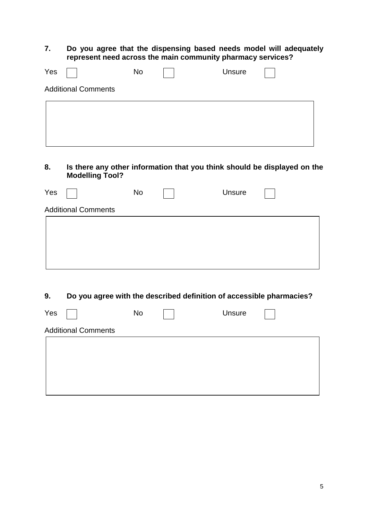**7. Do you agree that the dispensing based needs model will adequately represent need across the main community pharmacy services?**

| Yes |                            | No | Unsure |  |
|-----|----------------------------|----|--------|--|
|     | <b>Additional Comments</b> |    |        |  |
|     |                            |    |        |  |
|     |                            |    |        |  |
|     |                            |    |        |  |

**8. Is there any other information that you think should be displayed on the Modelling Tool?**

| Yes                        | No | Unsure |  |
|----------------------------|----|--------|--|
| <b>Additional Comments</b> |    |        |  |
|                            |    |        |  |
|                            |    |        |  |
|                            |    |        |  |
|                            |    |        |  |

**9. Do you agree with the described definition of accessible pharmacies?**

| Yes                        | No | Unsure |  |
|----------------------------|----|--------|--|
| <b>Additional Comments</b> |    |        |  |
|                            |    |        |  |
|                            |    |        |  |
|                            |    |        |  |
|                            |    |        |  |
|                            |    |        |  |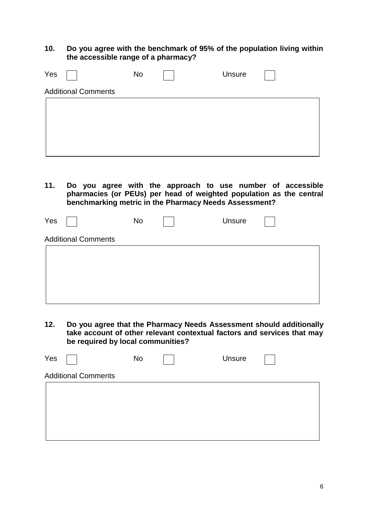**10. Do you agree with the benchmark of 95% of the population living within the accessible range of a pharmacy?**

| Yes                        | No | <b>Unsure</b> |  |
|----------------------------|----|---------------|--|
| <b>Additional Comments</b> |    |               |  |
|                            |    |               |  |
|                            |    |               |  |
|                            |    |               |  |
|                            |    |               |  |
|                            |    |               |  |

**11. Do you agree with the approach to use number of accessible pharmacies (or PEUs) per head of weighted population as the central benchmarking metric in the Pharmacy Needs Assessment?**

| Yes                        | No | Unsure |  |
|----------------------------|----|--------|--|
| <b>Additional Comments</b> |    |        |  |
|                            |    |        |  |
|                            |    |        |  |

**12. Do you agree that the Pharmacy Needs Assessment should additionally take account of other relevant contextual factors and services that may be required by local communities?**

| Yes                        | No | Unsure |  |
|----------------------------|----|--------|--|
| <b>Additional Comments</b> |    |        |  |
|                            |    |        |  |
|                            |    |        |  |
|                            |    |        |  |
|                            |    |        |  |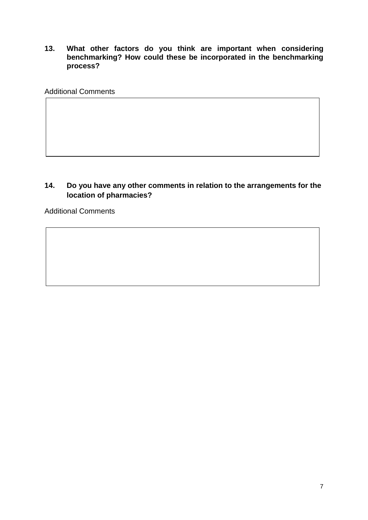**13. What other factors do you think are important when considering benchmarking? How could these be incorporated in the benchmarking process?**

Additional Comments

#### **14. Do you have any other comments in relation to the arrangements for the location of pharmacies?**

Additional Comments

**15.**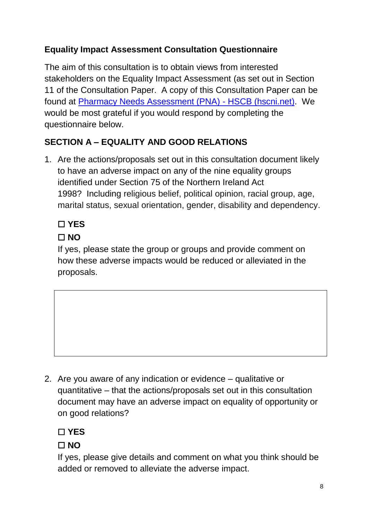### **Equality Impact Assessment Consultation Questionnaire**

The aim of this consultation is to obtain views from interested stakeholders on the Equality Impact Assessment (as set out in Section 11 of the Consultation Paper. A copy of this Consultation Paper can be found at [Pharmacy Needs Assessment \(PNA\) -](http://www.hscboard.hscni.net/get-involved/consultations/pna/) HSCB (hscni.net). We would be most grateful if you would respond by completing the questionnaire below.

# **SECTION A – EQUALITY AND GOOD RELATIONS**

1. Are the actions/proposals set out in this consultation document likely to have an adverse impact on any of the nine equality groups identified under Section 75 of the Northern Ireland Act 1998? Including religious belief, political opinion, racial group, age, marital status, sexual orientation, gender, disability and dependency.

# ☐ **YES**

# ☐ **NO**

If yes, please state the group or groups and provide comment on how these adverse impacts would be reduced or alleviated in the proposals.

2. Are you aware of any indication or evidence – qualitative or quantitative – that the actions/proposals set out in this consultation document may have an adverse impact on equality of opportunity or on good relations?

☐ **YES**

### ☐ **NO**

If yes, please give details and comment on what you think should be added or removed to alleviate the adverse impact.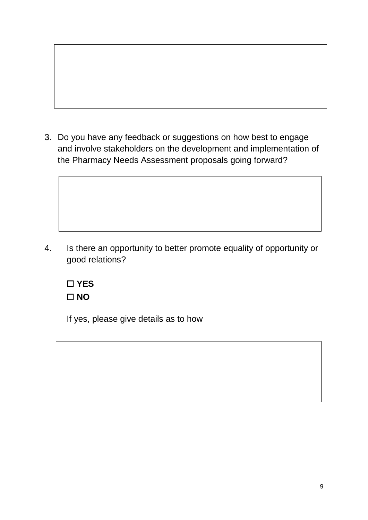3. Do you have any feedback or suggestions on how best to engage and involve stakeholders on the development and implementation of the Pharmacy Needs Assessment proposals going forward?

4. Is there an opportunity to better promote equality of opportunity or good relations?



If yes, please give details as to how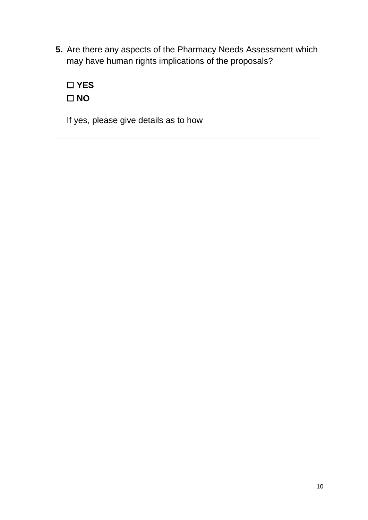**5.** Are there any aspects of the Pharmacy Needs Assessment which may have human rights implications of the proposals?



If yes, please give details as to how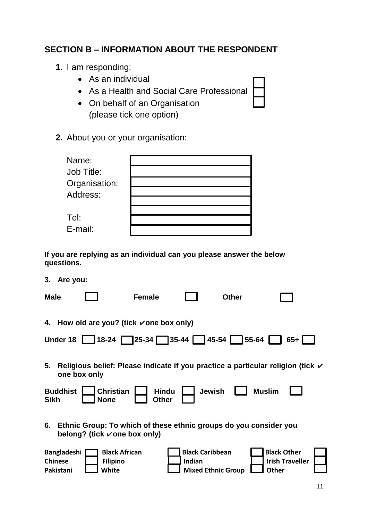#### **SECTION B – INFORMATION ABOUT THE RESPONDENT**

- **1.** I am responding:
	- As an individual
	- As a Health and Social Care Professional
	- On behalf of an Organisation (please tick one option)
- **2.** About you or your organisation:

| Name:         |  |
|---------------|--|
| Job Title:    |  |
| Organisation: |  |
| Address:      |  |
|               |  |
|               |  |
| Tel:          |  |
| E-mail:       |  |

**If you are replying as an individual can you please answer the below questions.**

**3. Are you:**

| <b>Male</b>                                       |                                                                                                   | <b>Female</b>         |                                                               | <b>Other</b> |                                                                                            |
|---------------------------------------------------|---------------------------------------------------------------------------------------------------|-----------------------|---------------------------------------------------------------|--------------|--------------------------------------------------------------------------------------------|
|                                                   | 4. How old are you? (tick vone box only)                                                          |                       |                                                               |              |                                                                                            |
|                                                   | Under 18 18-24 25-34 35-44 45-54 55-64                                                            |                       |                                                               |              | 65+ I                                                                                      |
| 5.                                                | one box only                                                                                      |                       |                                                               |              | Religious belief: Please indicate if you practice a particular religion (tick $\checkmark$ |
| <b>Buddhist</b><br><b>Sikh</b>                    | <b>Christian</b><br><b>None</b>                                                                   | <b>Hindu</b><br>Other | <b>Jewish</b>                                                 |              | <b>Muslim</b>                                                                              |
| 6.                                                | Ethnic Group: To which of these ethnic groups do you consider you<br>belong? (tick vone box only) |                       |                                                               |              |                                                                                            |
| <b>Bangladeshi</b><br><b>Chinese</b><br>Pakistani | <b>Black African</b><br><b>Filipino</b><br><b>White</b>                                           |                       | <b>Black Caribbean</b><br>Indian<br><b>Mixed Ethnic Group</b> |              | <b>Black Other</b><br><b>Irish Traveller</b><br><b>Other</b>                               |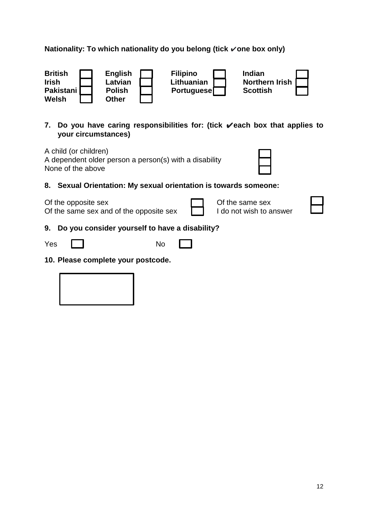#### **Nationality: To which nationality do you belong (tick** ✔**one box only)**



**7. Do you have caring responsibilities for: (tick** ✔**each box that applies to your circumstances)**

A child (or children) A dependent older person a person(s) with a disability None of the above

**8. Sexual Orientation: My sexual orientation is towards someone:** 

Of the opposite sex  $\Box$  Of the same sex

Of the same sex and of the opposite sex  $\Box$  I do not wish to answer



#### **9. Do you consider yourself to have a disability?**

| Yes | No |
|-----|----|
|     |    |

**10. Please complete your postcode.** 

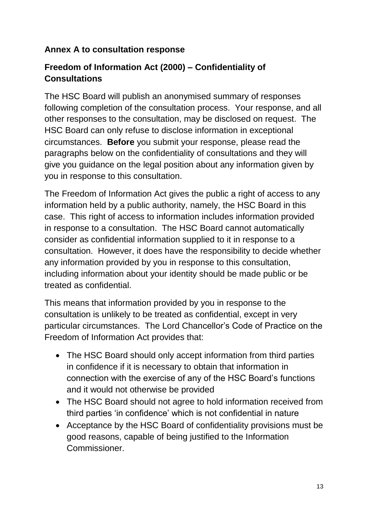#### **Annex A to consultation response**

### **Freedom of Information Act (2000) – Confidentiality of Consultations**

The HSC Board will publish an anonymised summary of responses following completion of the consultation process. Your response, and all other responses to the consultation, may be disclosed on request. The HSC Board can only refuse to disclose information in exceptional circumstances. **Before** you submit your response, please read the paragraphs below on the confidentiality of consultations and they will give you guidance on the legal position about any information given by you in response to this consultation.

The Freedom of Information Act gives the public a right of access to any information held by a public authority, namely, the HSC Board in this case. This right of access to information includes information provided in response to a consultation. The HSC Board cannot automatically consider as confidential information supplied to it in response to a consultation. However, it does have the responsibility to decide whether any information provided by you in response to this consultation, including information about your identity should be made public or be treated as confidential.

This means that information provided by you in response to the consultation is unlikely to be treated as confidential, except in very particular circumstances. The Lord Chancellor's Code of Practice on the Freedom of Information Act provides that:

- The HSC Board should only accept information from third parties in confidence if it is necessary to obtain that information in connection with the exercise of any of the HSC Board's functions and it would not otherwise be provided
- The HSC Board should not agree to hold information received from third parties 'in confidence' which is not confidential in nature
- Acceptance by the HSC Board of confidentiality provisions must be good reasons, capable of being justified to the Information Commissioner.